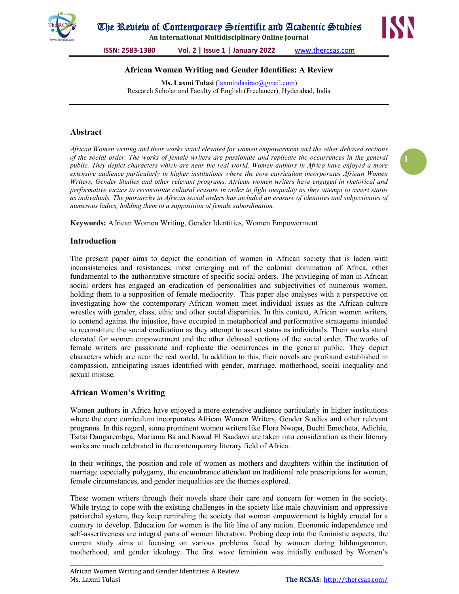

An International Multidisciplinary Online Journal



ISSN: 2583-1380 Vol. 2 | Issue 1 | January 2022 www.thercsas.com

## African Women Writing and Gender Identities: A Review

Ms. Laxmi Tulasi (laxmitulasirao@gmail.com) Research Scholar and Faculty of English (Freelancer), Hyderabad, India

## Abstract

African Women writing and their works stand elevated for women empowerment and the other debased sections of the social order. The works of female writers are passionate and replicate the occurrences in the general public. They depict characters which are near the real world. Women authors in Africa have enjoyed a more extensive audience particularly in higher institutions where the core curriculum incorporates African Women Writers, Gender Studies and other relevant programs. African women writers have engaged in rhetorical and performative tactics to reconstitute cultural erasure in order to fight inequality as they attempt to assert status as individuals. The patriarchy in African social orders has included an erasure of identities and subjectivities of numerous ladies, holding them to a supposition of female subordination.

Keywords: African Women Writing, Gender Identities, Women Empowerment

## Introduction

The present paper aims to depict the condition of women in African society that is laden with inconsistencies and resistances, most emerging out of the colonial domination of Africa, other fundamental to the authoritative structure of specific social orders. The privileging of man in African social orders has engaged an eradication of personalities and subjectivities of numerous women, holding them to a supposition of female mediocrity. This paper also analyses with a perspective on investigating how the contemporary African women meet individual issues as the African culture wrestles with gender, class, ethic and other social disparities. In this context, African women writers, to contend against the injustice, have occupied in metaphorical and performative stratagems intended to reconstitute the social eradication as they attempt to assert status as individuals. Their works stand elevated for women empowerment and the other debased sections of the social order. The works of female writers are passionate and replicate the occurrences in the general public. They depict characters which are near the real world. In addition to this, their novels are profound established in compassion, anticipating issues identified with gender, marriage, motherhood, social inequality and sexual misuse.

### African Women's Writing

Women authors in Africa have enjoyed a more extensive audience particularly in higher institutions where the core curriculum incorporates African Women Writers, Gender Studies and other relevant programs. In this regard, some prominent women writers like Flora Nwapa, Buchi Emecheta, Adichie, Tsitsi Dangarembga, Mariama Ba and Nawal El Saadawi are taken into consideration as their literary works are much celebrated in the contemporary literary field of Africa.

In their writings, the position and role of women as mothers and daughters within the institution of marriage especially polygamy, the encumbrance attendant on traditional role prescriptions for women, female circumstances, and gender inequalities are the themes explored.

These women writers through their novels share their care and concern for women in the society. While trying to cope with the existing challenges in the society like male chauvinism and oppressive patriarchal system, they keep reminding the society that woman empowerment is highly crucial for a country to develop. Education for women is the life line of any nation. Economic independence and self-assertiveness are integral parts of women liberation. Probing deep into the feministic aspects, the current study aims at focusing on various problems faced by women during bildungsroman, motherhood, and gender ideology. The first wave feminism was initially enthused by Women's

\_\_\_\_\_\_\_\_\_\_\_\_\_\_\_\_\_\_\_\_\_\_\_\_\_\_\_\_\_\_\_\_\_\_\_\_\_\_\_\_\_\_\_\_\_\_\_\_\_\_\_\_\_\_\_\_\_\_\_\_\_\_\_\_\_\_\_\_\_\_\_\_\_\_\_\_\_\_\_\_\_\_\_\_\_\_\_\_\_\_\_\_\_\_\_\_\_\_\_\_\_\_\_\_\_\_\_\_\_\_\_\_\_\_\_\_\_\_\_\_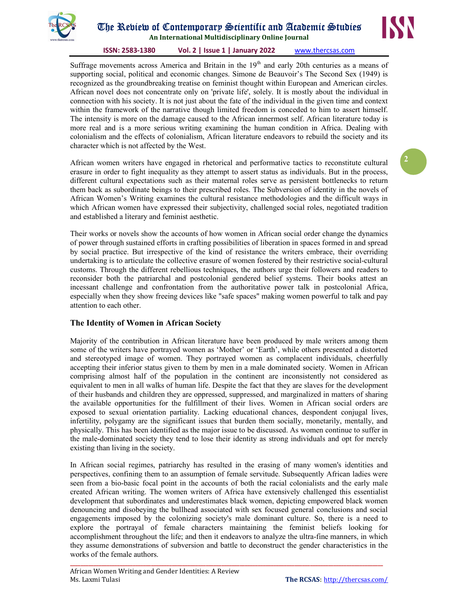

# The Review of Contemporary Scientific and Academic Studies

An International Multidisciplinary Online Journal

#### ISSN: 2583-1380 Vol. 2 | Issue 1 | January 2022 www.thercsas.com

Suffrage movements across America and Britain in the  $19<sup>th</sup>$  and early 20th centuries as a means of supporting social, political and economic changes. Simone de Beauvoir's The Second Sex (1949) is recognized as the groundbreaking treatise on feminist thought within European and American circles. African novel does not concentrate only on 'private life', solely. It is mostly about the individual in connection with his society. It is not just about the fate of the individual in the given time and context within the framework of the narrative though limited freedom is conceded to him to assert himself. The intensity is more on the damage caused to the African innermost self. African literature today is more real and is a more serious writing examining the human condition in Africa. Dealing with colonialism and the effects of colonialism, African literature endeavors to rebuild the society and its character which is not affected by the West.

African women writers have engaged in rhetorical and performative tactics to reconstitute cultural erasure in order to fight inequality as they attempt to assert status as individuals. But in the process, different cultural expectations such as their maternal roles serve as persistent bottlenecks to return them back as subordinate beings to their prescribed roles. The Subversion of identity in the novels of African Women's Writing examines the cultural resistance methodologies and the difficult ways in which African women have expressed their subjectivity, challenged social roles, negotiated tradition and established a literary and feminist aesthetic.

Their works or novels show the accounts of how women in African social order change the dynamics of power through sustained efforts in crafting possibilities of liberation in spaces formed in and spread by social practice. But irrespective of the kind of resistance the writers embrace, their overriding undertaking is to articulate the collective erasure of women fostered by their restrictive social-cultural customs. Through the different rebellious techniques, the authors urge their followers and readers to reconsider both the patriarchal and postcolonial gendered belief systems. Their books attest an incessant challenge and confrontation from the authoritative power talk in postcolonial Africa, especially when they show freeing devices like "safe spaces" making women powerful to talk and pay attention to each other.

## The Identity of Women in African Society

Majority of the contribution in African literature have been produced by male writers among them some of the writers have portrayed women as 'Mother' or 'Earth', while others presented a distorted and stereotyped image of women. They portrayed women as complacent individuals, cheerfully accepting their inferior status given to them by men in a male dominated society. Women in African comprising almost half of the population in the continent are inconsistently not considered as equivalent to men in all walks of human life. Despite the fact that they are slaves for the development of their husbands and children they are oppressed, suppressed, and marginalized in matters of sharing the available opportunities for the fulfillment of their lives. Women in African social orders are exposed to sexual orientation partiality. Lacking educational chances, despondent conjugal lives, infertility, polygamy are the significant issues that burden them socially, monetarily, mentally, and physically. This has been identified as the major issue to be discussed. As women continue to suffer in the male-dominated society they tend to lose their identity as strong individuals and opt for merely existing than living in the society.

In African social regimes, patriarchy has resulted in the erasing of many women's identities and perspectives, confining them to an assumption of female servitude. Subsequently African ladies were seen from a bio-basic focal point in the accounts of both the racial colonialists and the early male created African writing. The women writers of Africa have extensively challenged this essentialist development that subordinates and underestimates black women, depicting empowered black women denouncing and disobeying the bullhead associated with sex focused general conclusions and social engagements imposed by the colonizing society's male dominant culture. So, there is a need to explore the portrayal of female characters maintaining the feminist beliefs looking for accomplishment throughout the life; and then it endeavors to analyze the ultra-fine manners, in which they assume demonstrations of subversion and battle to deconstruct the gender characteristics in the works of the female authors.

\_\_\_\_\_\_\_\_\_\_\_\_\_\_\_\_\_\_\_\_\_\_\_\_\_\_\_\_\_\_\_\_\_\_\_\_\_\_\_\_\_\_\_\_\_\_\_\_\_\_\_\_\_\_\_\_\_\_\_\_\_\_\_\_\_\_\_\_\_\_\_\_\_\_\_\_\_\_\_\_\_\_\_\_\_\_\_\_\_\_\_\_\_\_\_\_\_\_\_\_\_\_\_\_\_\_\_\_\_\_\_\_\_\_\_\_\_\_\_\_



2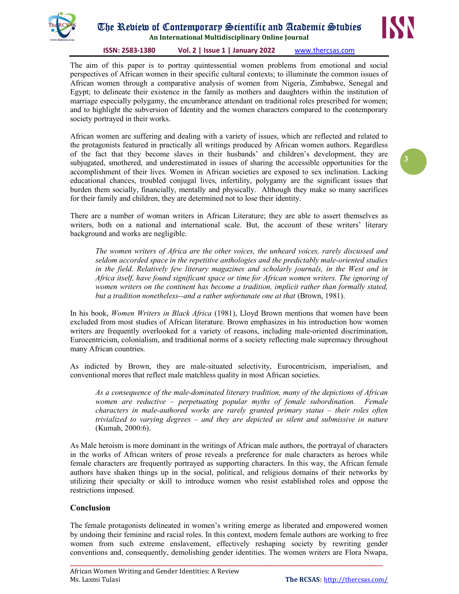

## The Review of Contemporary Scientific and Academic Studies

An International Multidisciplinary Online Journal

#### ISSN: 2583-1380 Vol. 2 | Issue 1 | January 2022 www.thercsas.com

The aim of this paper is to portray quintessential women problems from emotional and social perspectives of African women in their specific cultural contexts; to illuminate the common issues of African women through a comparative analysis of women from Nigeria, Zimbabwe, Senegal and Egypt; to delineate their existence in the family as mothers and daughters within the institution of marriage especially polygamy, the encumbrance attendant on traditional roles prescribed for women; and to highlight the subversion of Identity and the women characters compared to the contemporary society portrayed in their works.

African women are suffering and dealing with a variety of issues, which are reflected and related to the protagonists featured in practically all writings produced by African women authors. Regardless of the fact that they become slaves in their husbands' and children's development, they are subjugated, smothered, and underestimated in issues of sharing the accessible opportunities for the accomplishment of their lives. Women in African societies are exposed to sex inclination. Lacking educational chances, troubled conjugal lives, infertility, polygamy are the significant issues that burden them socially, financially, mentally and physically. Although they make so many sacrifices for their family and children, they are determined not to lose their identity.

There are a number of woman writers in African Literature; they are able to assert themselves as writers, both on a national and international scale. But, the account of these writers' literary background and works are negligible.

The women writers of Africa are the other voices, the unheard voices, rarely discussed and seldom accorded space in the repetitive anthologies and the predictably male-oriented studies in the field. Relatively few literary magazines and scholarly journals, in the West and in Africa itself, have found significant space or time for African women writers. The ignoring of women writers on the continent has become a tradition, implicit rather than formally stated, but a tradition nonetheless--and a rather unfortunate one at that (Brown, 1981).

In his book, Women Writers in Black Africa (1981), Lloyd Brown mentions that women have been excluded from most studies of African literature. Brown emphasizes in his introduction how women writers are frequently overlooked for a variety of reasons, including male-oriented discrimination, Eurocentricism, colonialism, and traditional norms of a society reflecting male supremacy throughout many African countries.

As indicted by Brown, they are male-situated selectivity, Eurocentricism, imperialism, and conventional mores that reflect male matchless quality in most African societies.

As a consequence of the male-dominated literary tradition, many of the depictions of African women are reductive – perpetuating popular myths of female subordination. Female characters in male-authored works are rarely granted primary status – their roles often trivialized to varying degrees – and they are depicted as silent and submissive in nature (Kumah, 2000:6).

As Male heroism is more dominant in the writings of African male authors, the portrayal of characters in the works of African writers of prose reveals a preference for male characters as heroes while female characters are frequently portrayed as supporting characters. In this way, the African female authors have shaken things up in the social, political, and religious domains of their networks by utilizing their specialty or skill to introduce women who resist established roles and oppose the restrictions imposed.

### Conclusion

The female protagonists delineated in women's writing emerge as liberated and empowered women by undoing their feminine and racial roles. In this context, modern female authors are working to free women from such extreme enslavement, effectively reshaping society by rewriting gender conventions and, consequently, demolishing gender identities. The women writers are Flora Nwapa,

\_\_\_\_\_\_\_\_\_\_\_\_\_\_\_\_\_\_\_\_\_\_\_\_\_\_\_\_\_\_\_\_\_\_\_\_\_\_\_\_\_\_\_\_\_\_\_\_\_\_\_\_\_\_\_\_\_\_\_\_\_\_\_\_\_\_\_\_\_\_\_\_\_\_\_\_\_\_\_\_\_\_\_\_\_\_\_\_\_\_\_\_\_\_\_\_\_\_\_\_\_\_\_\_\_\_\_\_\_\_\_\_\_\_\_\_\_\_\_\_



3